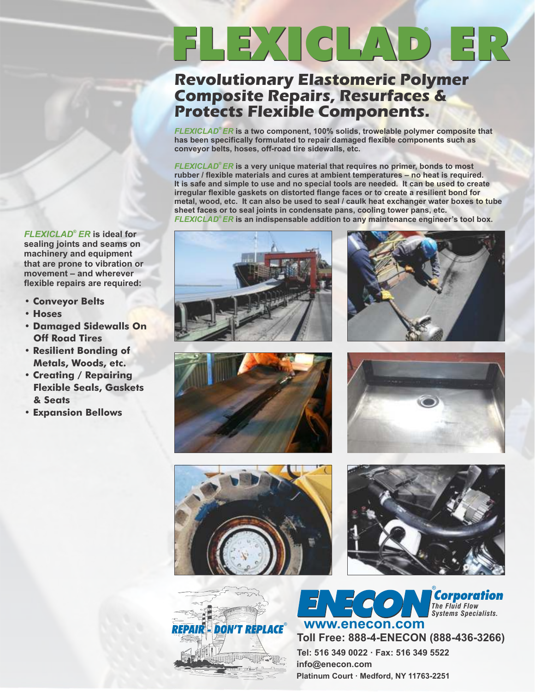# FLEXICLAD ER **®**

### **Revolutionary Elastomeric Polymer Composite Repairs, Resurfaces & Protects Flexible Components.**

*® FLEXICLAD ER* **is a two component, 100% solids, trowelable polymer composite that has been specifically formulated to repair damaged flexible components such as conveyor belts, hoses, off-road tire sidewalls, etc.** 

*FLEXICLAD<sup>®</sup> ER* **is a very unique material that requires no primer, bonds to most rubber / flexible materials and cures at ambient temperatures – no heat is required. It is safe and simple to use and no special tools are needed. It can be used to create irregular flexible gaskets on distorted flange faces or to create a resilient bond for metal, wood, etc. It can also be used to seal / caulk heat exchanger water boxes to tube sheet faces or to seal joints in condensate pans, cooling tower pans, etc.**  *® FLEXICLAD ER* **is an indispensable addition to any maintenance engineer's tool box.**

*FLEXICLAD ER ®*  **is ideal for sealing joints and seams on machinery and equipment that are prone to vibration or movement – and wherever flexible repairs are required:**

- **Conveyor Belts**
- **Hoses**
- **Damaged Sidewalls On Off Road Tires**
- **Resilient Bonding of Metals, Woods, etc.**
- **Creating / Repairing Flexible Seals, Gaskets & Seats**
- **Expansion Bellows**













®

*The Fluid Flow*



**Platinum Court · Medford, NY 11763-2251 Tel: 516 349 0022 · Fax: 516 349 5522 info@enecon.com Toll Free: 888-4-ENECON (888-436-3266)** *Systems Specialists.* **www.enecon.com**